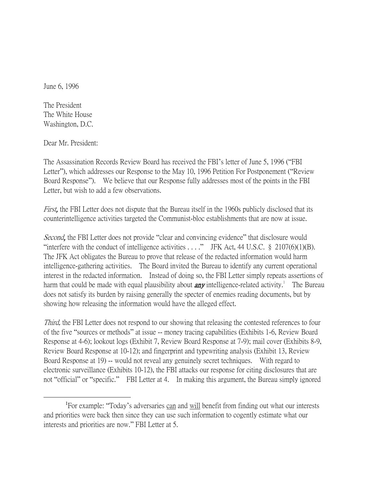June 6, 1996

The President The White House Washington, D.C.

Dear Mr. President:

 $\overline{a}$ 

The Assassination Records Review Board has received the FBI's letter of June 5, 1996 ("FBI Letter"), which addresses our Response to the May 10, 1996 Petition For Postponement ("Review Board Response"). We believe that our Response fully addresses most of the points in the FBI Letter, but wish to add a few observations.

First, the FBI Letter does not dispute that the Bureau itself in the 1960s publicly disclosed that its counterintelligence activities targeted the Communist-bloc establishments that are now at issue.

Second, the FBI Letter does not provide "clear and convincing evidence" that disclosure would "interfere with the conduct of intelligence activities  $\dots$ ." JFK Act, 44 U.S.C. § 2107(6)(1)(B). The JFK Act obligates the Bureau to prove that release of the redacted information would harm intelligence-gathering activities. The Board invited the Bureau to identify any current operational interest in the redacted information. Instead of doing so, the FBI Letter simply repeats assertions of harm that could be made with equal plausibility about **any** intelligence-related activity.<sup>1</sup> The Bureau does not satisfy its burden by raising generally the specter of enemies reading documents, but by showing how releasing the information would have the alleged effect.

Third, the FBI Letter does not respond to our showing that releasing the contested references to four of the five "sources or methods" at issue -- money tracing capabilities (Exhibits 1-6, Review Board Response at 4-6); lookout logs (Exhibit 7, Review Board Response at 7-9); mail cover (Exhibits 8-9, Review Board Response at 10-12); and fingerprint and typewriting analysis (Exhibit 13, Review Board Response at 19) -- would not reveal any genuinely secret techniques. With regard to electronic surveillance (Exhibits 10-12), the FBI attacks our response for citing disclosures that are not "official" or "specific." FBI Letter at 4. In making this argument, the Bureau simply ignored

<sup>&</sup>lt;sup>1</sup>For example: "Today's adversaries can and will benefit from finding out what our interests and priorities were back then since they can use such information to cogently estimate what our interests and priorities are now." FBI Letter at 5.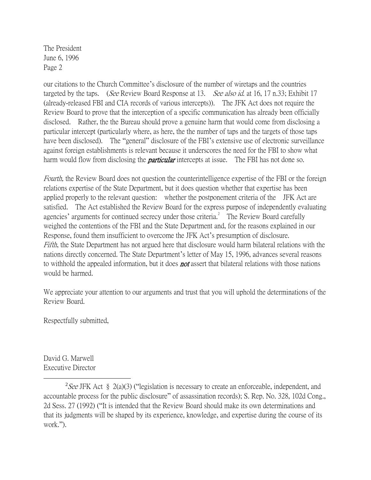The President June 6, 1996 Page 2

our citations to the Church Committee's disclosure of the number of wiretaps and the countries targeted by the taps. (See Review Board Response at 13. See also id. at 16, 17 n.33; Exhibit 17 (already-released FBI and CIA records of various intercepts)). The JFK Act does not require the Review Board to prove that the interception of a specific communication has already been officially disclosed. Rather, the the Bureau should prove a genuine harm that would come from disclosing a particular intercept (particularly where, as here, the the number of taps and the targets of those taps have been disclosed). The "general" disclosure of the FBI's extensive use of electronic surveillance against foreign establishments is relevant because it underscores the need for the FBI to show what harm would flow from disclosing the **particular** intercepts at issue. The FBI has not done so.

Fourth, the Review Board does not question the counterintelligence expertise of the FBI or the foreign relations expertise of the State Department, but it does question whether that expertise has been applied properly to the relevant question: whether the postponement criteria of the JFK Act are satisfied. The Act established the Review Board for the express purpose of independently evaluating agencies' arguments for continued secrecy under those criteria.<sup>2</sup> The Review Board carefully weighed the contentions of the FBI and the State Department and, for the reasons explained in our Response, found them insufficient to overcome the JFK Act's presumption of disclosure. Fifth, the State Department has not argued here that disclosure would harm bilateral relations with the nations directly concerned. The State Department's letter of May 15, 1996, advances several reasons to withhold the appealed information, but it does **not** assert that bilateral relations with those nations would be harmed.

We appreciate your attention to our arguments and trust that you will uphold the determinations of the Review Board.

Respectfully submitted,

David G. Marwell Executive Director

 $\overline{a}$ 

<sup>&</sup>lt;sup>2</sup>See JFK Act § 2(a)(3) ("legislation is necessary to create an enforceable, independent, and accountable process for the public disclosure" of assassination records); S. Rep. No. 328, 102d Cong., 2d Sess. 27 (1992) ("It is intended that the Review Board should make its own determinations and that its judgments will be shaped by its experience, knowledge, and expertise during the course of its work.").